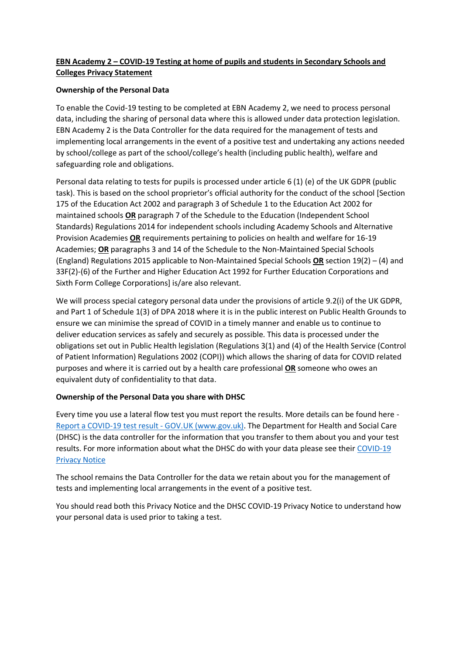# **EBN Academy 2 – COVID-19 Testing at home of pupils and students in Secondary Schools and Colleges Privacy Statement**

## **Ownership of the Personal Data**

To enable the Covid-19 testing to be completed at EBN Academy 2, we need to process personal data, including the sharing of personal data where this is allowed under data protection legislation. EBN Academy 2 is the Data Controller for the data required for the management of tests and implementing local arrangements in the event of a positive test and undertaking any actions needed by school/college as part of the school/college's health (including public health), welfare and safeguarding role and obligations.

Personal data relating to tests for pupils is processed under article 6 (1) (e) of the UK GDPR (public task). This is based on the school proprietor's official authority for the conduct of the school [Section 175 of the Education Act 2002 and paragraph 3 of Schedule 1 to the Education Act 2002 for maintained schools **OR** paragraph 7 of the Schedule to the Education (Independent School Standards) Regulations 2014 for independent schools including Academy Schools and Alternative Provision Academies **OR** requirements pertaining to policies on health and welfare for 16-19 Academies; **OR** paragraphs 3 and 14 of the Schedule to the Non-Maintained Special Schools (England) Regulations 2015 applicable to Non-Maintained Special Schools **OR** section 19(2) – (4) and 33F(2)-(6) of the Further and Higher Education Act 1992 for Further Education Corporations and Sixth Form College Corporations] is/are also relevant.

We will process special category personal data under the provisions of article 9.2(i) of the UK GDPR, and Part 1 of Schedule 1(3) of DPA 2018 where it is in the public interest on Public Health Grounds to ensure we can minimise the spread of COVID in a timely manner and enable us to continue to deliver education services as safely and securely as possible. This data is processed under the obligations set out in Public Health legislation (Regulations 3(1) and (4) of the Health Service (Control of Patient Information) Regulations 2002 (COPI)) which allows the sharing of data for COVID related purposes and where it is carried out by a health care professional **OR** someone who owes an equivalent duty of confidentiality to that data.

## **Ownership of the Personal Data you share with DHSC**

Every time you use a lateral flow test you must report the results. More details can be found here - [Report a COVID-19 test result -](https://www.gov.uk/report-covid19-result) GOV.UK (www.gov.uk). The Department for Health and Social Care (DHSC) is the data controller for the information that you transfer to them about you and your test results. For more information about what the DHSC do with your data please see their COVID-19 [Privacy Notice](https://www.gov.uk/government/publications/coronavirus-covid-19-testing-privacy-information)

The school remains the Data Controller for the data we retain about you for the management of tests and implementing local arrangements in the event of a positive test.

You should read both this Privacy Notice and the DHSC COVID-19 Privacy Notice to understand how your personal data is used prior to taking a test.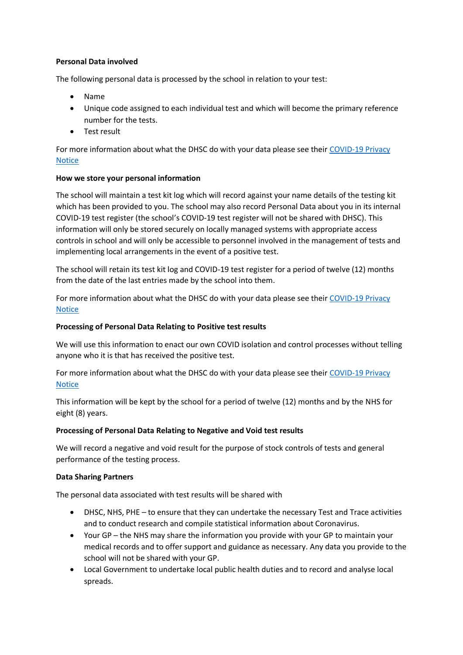## **Personal Data involved**

The following personal data is processed by the school in relation to your test:

- Name
- Unique code assigned to each individual test and which will become the primary reference number for the tests.
- Test result

For more information about what the DHSC do with your data please see their [COVID-19 Privacy](https://www.gov.uk/government/publications/coronavirus-covid-19-testing-privacy-information)  [Notice](https://www.gov.uk/government/publications/coronavirus-covid-19-testing-privacy-information)

## **How we store your personal information**

The school will maintain a test kit log which will record against your name details of the testing kit which has been provided to you. The school may also record Personal Data about you in its internal COVID-19 test register (the school's COVID-19 test register will not be shared with DHSC). This information will only be stored securely on locally managed systems with appropriate access controls in school and will only be accessible to personnel involved in the management of tests and implementing local arrangements in the event of a positive test.

The school will retain its test kit log and COVID-19 test register for a period of twelve (12) months from the date of the last entries made by the school into them.

For more information about what the DHSC do with your data please see their COVID-19 Privacy [Notice](https://www.gov.uk/government/publications/coronavirus-covid-19-testing-privacy-information)

## **Processing of Personal Data Relating to Positive test results**

We will use this information to enact our own COVID isolation and control processes without telling anyone who it is that has received the positive test.

For more information about what the DHSC do with your data please see their COVID-19 Privacy **[Notice](https://www.gov.uk/government/publications/coronavirus-covid-19-testing-privacy-information)** 

This information will be kept by the school for a period of twelve (12) months and by the NHS for eight (8) years.

## **Processing of Personal Data Relating to Negative and Void test results**

We will record a negative and void result for the purpose of stock controls of tests and general performance of the testing process.

### **Data Sharing Partners**

The personal data associated with test results will be shared with

- DHSC, NHS, PHE to ensure that they can undertake the necessary Test and Trace activities and to conduct research and compile statistical information about Coronavirus.
- Your GP the NHS may share the information you provide with your GP to maintain your medical records and to offer support and guidance as necessary. Any data you provide to the school will not be shared with your GP.
- Local Government to undertake local public health duties and to record and analyse local spreads.